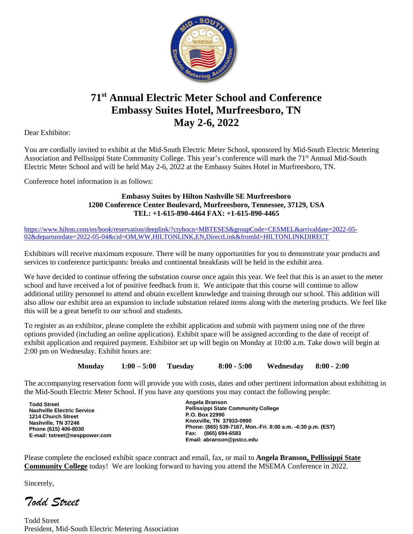

# **71st Annual Electric Meter School and Conference Embassy Suites Hotel, Murfreesboro, TN May 2-6, 2022**

Dear Exhibitor:

You are cordially invited to exhibit at the Mid-South Electric Meter School, sponsored by Mid-South Electric Metering Association and Pellissippi State Community College. This year's conference will mark the 71<sup>st</sup> Annual Mid-South Electric Meter School and will be held May 2-6, 2022 at the Embassy Suites Hotel in Murfreesboro, TN.

Conference hotel information is as follows:

#### **Embassy Suites by Hilton Nashville SE Murfreesboro 1200 Conference Center Boulevard, Murfreesboro, Tennessee, 37129, USA TEL: +1-615-890-4464 FAX: +1-615-890-4465**

[https://www.hilton.com/en/book/reservation/deeplink/?ctyhocn=MBTESES&groupCode=CESMEL&arrivaldate=2022-05-](https://nam10.safelinks.protection.outlook.com/?url=https%3A%2F%2Fwww.hilton.com%2Fen%2Fbook%2Freservation%2Fdeeplink%2F%3Fctyhocn%3DMBTESES%26groupCode%3DCESMEL%26arrivaldate%3D2022-05-02%26departuredate%3D2022-05-04%26cid%3DOM%2CWW%2CHILTONLINK%2CEN%2CDirectLink%26fromId%3DHILTONLINKDIRECT&data=04%7C01%7CJennifer.Dobbs%40atriumhospitality.com%7C53ade8068863402beed008d9cf9dadbd%7C2a940736346f4580951607fd1e7cc52d%7C0%7C0%7C637769098413966570%7CUnknown%7CTWFpbGZsb3d8eyJWIjoiMC4wLjAwMDAiLCJQIjoiV2luMzIiLCJBTiI6Ik1haWwiLCJXVCI6Mn0%3D%7C3000&sdata=0LFOMq4j8zle9Ry5DFEQF1z5lAo0qiZAgdKCYBY0Muk%3D&reserved=0) [02&departuredate=2022-05-04&cid=OM,WW,HILTONLINK,EN,DirectLink&fromId=HILTONLINKDIRECT](https://nam10.safelinks.protection.outlook.com/?url=https%3A%2F%2Fwww.hilton.com%2Fen%2Fbook%2Freservation%2Fdeeplink%2F%3Fctyhocn%3DMBTESES%26groupCode%3DCESMEL%26arrivaldate%3D2022-05-02%26departuredate%3D2022-05-04%26cid%3DOM%2CWW%2CHILTONLINK%2CEN%2CDirectLink%26fromId%3DHILTONLINKDIRECT&data=04%7C01%7CJennifer.Dobbs%40atriumhospitality.com%7C53ade8068863402beed008d9cf9dadbd%7C2a940736346f4580951607fd1e7cc52d%7C0%7C0%7C637769098413966570%7CUnknown%7CTWFpbGZsb3d8eyJWIjoiMC4wLjAwMDAiLCJQIjoiV2luMzIiLCJBTiI6Ik1haWwiLCJXVCI6Mn0%3D%7C3000&sdata=0LFOMq4j8zle9Ry5DFEQF1z5lAo0qiZAgdKCYBY0Muk%3D&reserved=0)

Exhibitors will receive maximum exposure. There will be many opportunities for you to demonstrate your products and services to conference participants: breaks and continental breakfasts will be held in the exhibit area.

We have decided to continue offering the substation course once again this year. We feel that this is an asset to the meter school and have received a lot of positive feedback from it. We anticipate that this course will continue to allow additional utility personnel to attend and obtain excellent knowledge and training through our school. This addition will also allow our exhibit area an expansion to include substation related items along with the metering products. We feel like this will be a great benefit to our school and students.

To register as an exhibitor, please complete the exhibit application and submit with payment using one of the three options provided (including an online application). Exhibit space will be assigned according to the date of receipt of exhibit application and required payment. Exhibitor set up will begin on Monday at 10:00 a.m. Take down will begin at 2:00 pm on Wednesday. Exhibit hours are:

**Monday 1:00 – 5:00 Tuesday 8:00 - 5:00 Wednesday 8:00 - 2:00**

The accompanying reservation form will provide you with costs, dates and other pertinent information about exhibiting in the Mid-South Electric Meter School. If you have any questions you may contact the following people:

| <b>Todd Street</b><br><b>Nashville Electric Service</b><br>1214 Church Street<br>Nashville, TN 37246<br>Phone (615) 406-8030<br>E-mail: tstreet@nesppower.com | Angela Branson<br><b>Pellissippi State Community College</b><br>P.O. Box 22990<br>Knoxville, TN 37933-0990<br>Phone: (865) 539-7167, Mon.-Fri. 8:00 a.m. -4:30 p.m. (EST)<br>(865) 694-6583<br>Fax:<br>Email: abranson@pstcc.edu |
|---------------------------------------------------------------------------------------------------------------------------------------------------------------|----------------------------------------------------------------------------------------------------------------------------------------------------------------------------------------------------------------------------------|
|---------------------------------------------------------------------------------------------------------------------------------------------------------------|----------------------------------------------------------------------------------------------------------------------------------------------------------------------------------------------------------------------------------|

Please complete the enclosed exhibit space contract and email, fax, or mail to **Angela Branson, Pellissippi State Community College** today! We are looking forward to having you attend the MSEMA Conference in 2022.

Sincerely,

*Todd Street*

Todd Street President, Mid-South Electric Metering Association